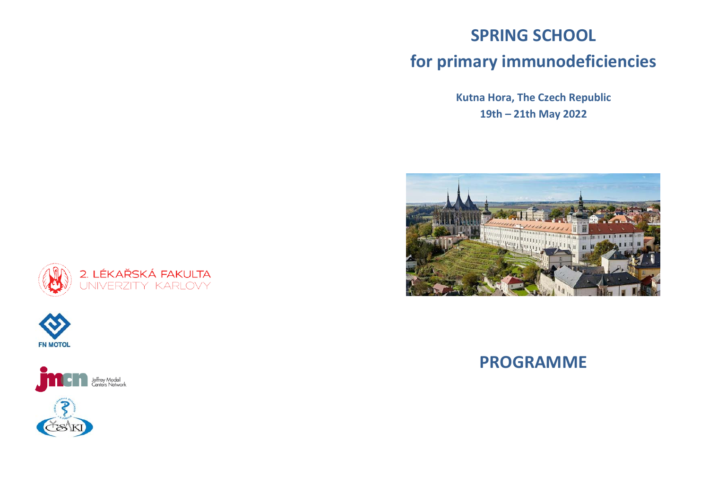## **SPRING SCHOOL for primary immunodeficiencies**

**Kutna Hora, The Czech Republic 19th – 21th May 2022**









#### **PROGRAMME**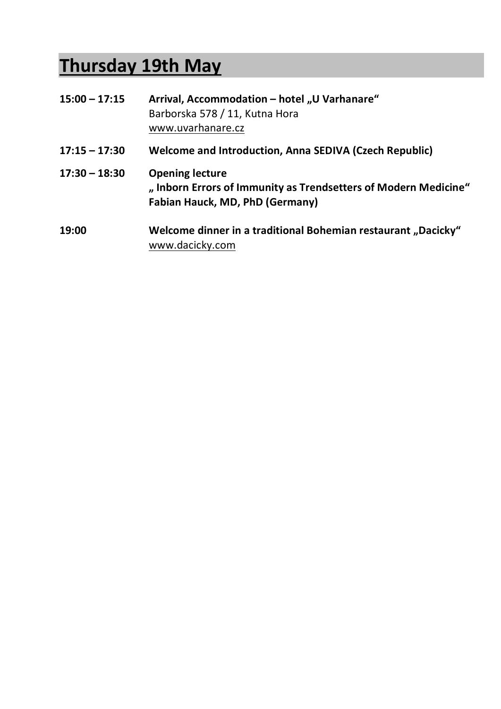# **Thursday 19th May**

| $15:00 - 17:15$ | Arrival, Accommodation - hotel "U Varhanare"<br>Barborska 578 / 11, Kutna Hora<br>www.uvarhanare.cz                                |
|-----------------|------------------------------------------------------------------------------------------------------------------------------------|
| $17:15 - 17:30$ | <b>Welcome and Introduction, Anna SEDIVA (Czech Republic)</b>                                                                      |
| $17:30 - 18:30$ | <b>Opening lecture</b><br>"Inborn Errors of Immunity as Trendsetters of Modern Medicine"<br><b>Fabian Hauck, MD, PhD (Germany)</b> |
| 19:00           | Welcome dinner in a traditional Bohemian restaurant "Dacicky"<br>www.dacicky.com                                                   |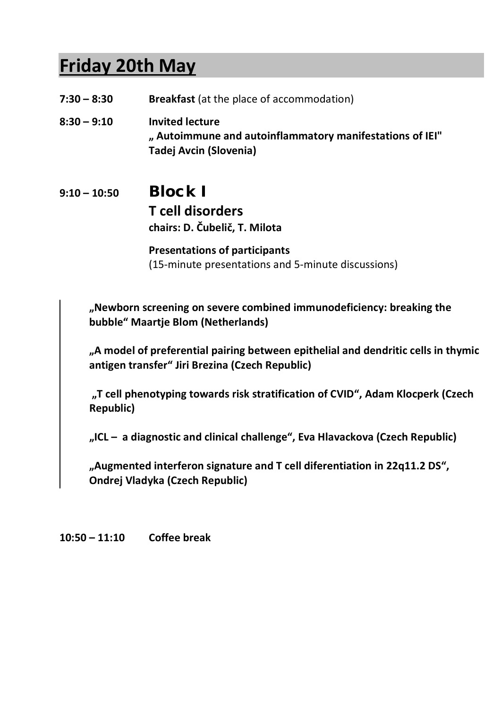## **Friday 20th May**

- **7:30 – 8:30 Breakfast** (at the place of accommodation)
- **8:30 – 9:10 Invited lecture " Autoimmune and autoinflammatory manifestations of IEI" Tadej Avcin (Slovenia)**

#### **9:10 – 10:50** Block I **T cell disorders chairs: D. Čubelič, T. Milota**

**Presentations of participants** (15-minute presentations and 5-minute discussions)

**"Newborn screening on severe combined immunodeficiency: breaking the bubble" Maartje Blom (Netherlands)**

**"A model of preferential pairing between epithelial and dendritic cells in thymic antigen transfer" Jiri Brezina (Czech Republic)**

**"T cell phenotyping towards risk stratification of CVID", Adam Klocperk (Czech Republic)**

**"ICL – a diagnostic and clinical challenge", Eva Hlavackova (Czech Republic)**

**"Augmented interferon signature and T cell diferentiation in 22q11.2 DS", Ondrej Vladyka (Czech Republic)**

**10:50 – 11:10 Coffee break**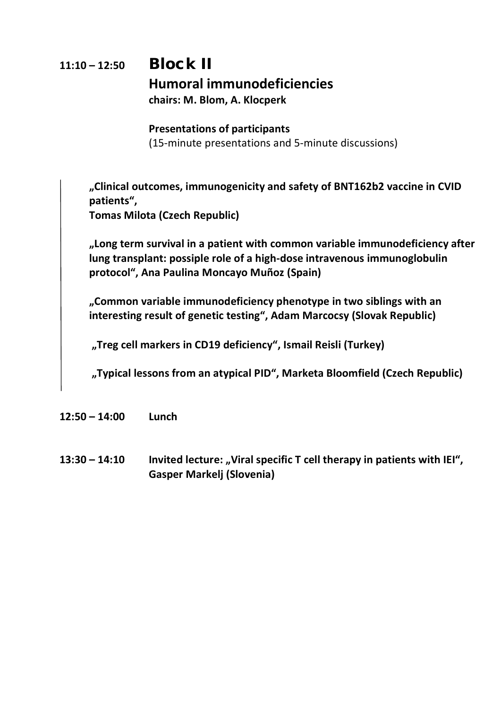## **11:10 – 12:50** Block II **Humoral immunodeficiencies chairs: M. Blom, A. Klocperk**

#### **Presentations of participants**

(15-minute presentations and 5-minute discussions)

**"Clinical outcomes, immunogenicity and safety of BNT162b2 vaccine in CVID patients",** 

**Tomas Milota (Czech Republic)**

**"Long term survival in a patient with common variable immunodeficiency after lung transplant: possiple role of a high-dose intravenous immunoglobulin protocol", Ana Paulina Moncayo Muñoz (Spain)**

**"Common variable immunodeficiency phenotype in two siblings with an interesting result of genetic testing", Adam Marcocsy (Slovak Republic)**

**"Treg cell markers in CD19 deficiency", Ismail Reisli (Turkey)**

**"Typical lessons from an atypical PID", Marketa Bloomfield (Czech Republic)**

- **12:50 – 14:00 Lunch**
- 13:30 14:10 **Invited lecture: "Viral specific T cell therapy in patients with IEI", Gasper Markelj (Slovenia)**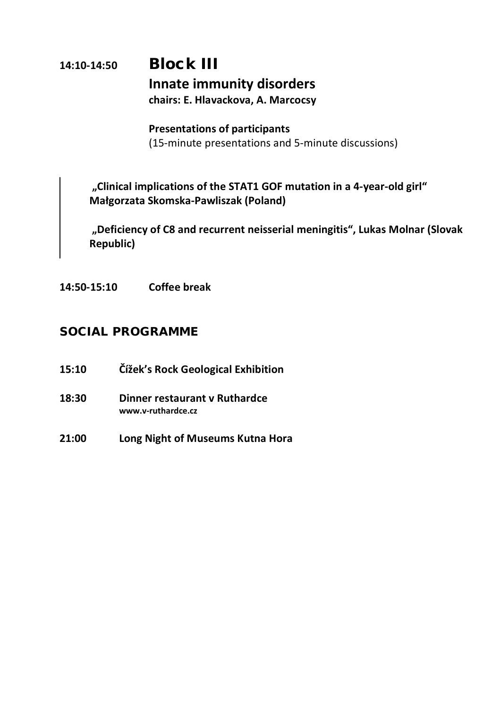#### **14:10-14:50** Block III **Innate immunity disorders chairs: E. Hlavackova, A. Marcocsy**

**Presentations of participants** (15-minute presentations and 5-minute discussions)

**"Clinical implications of the STAT1 GOF mutation in a 4-year-old girl" Małgorzata Skomska-Pawliszak (Poland)**

**"Deficiency of C8 and recurrent neisserial meningitis", Lukas Molnar (Slovak Republic)**

**14:50-15:10 Coffee break**

#### SOCIAL PROGRAMME

- **15:10 Čížek's Rock Geological Exhibition**
- **18:30 Dinner restaurant v Ruthardce www.v-ruthardce.cz**
- **21:00 Long Night of Museums Kutna Hora**